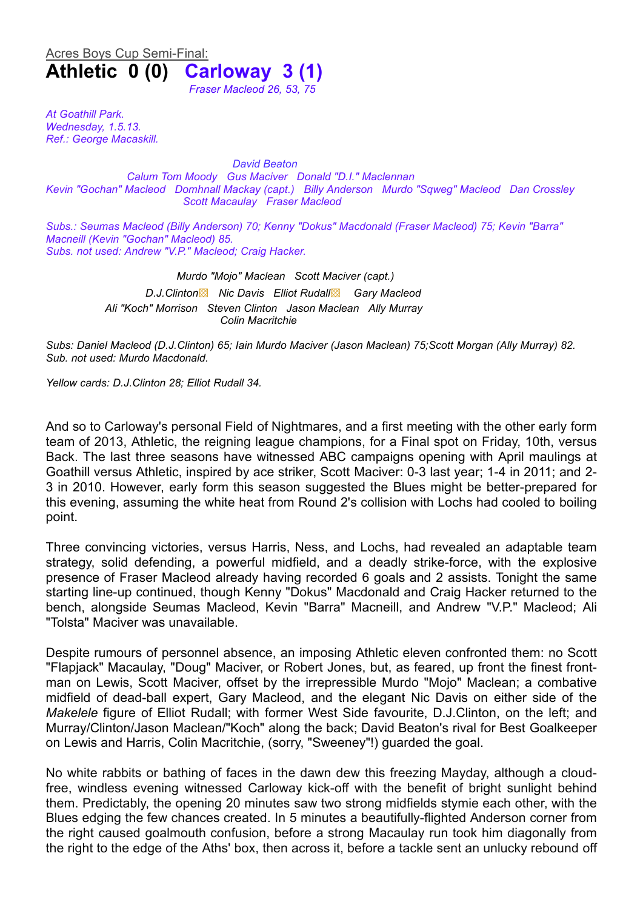## Acres Boys Cup Semi-Final: **Athletic 0 (0) Carloway 3 (1)** *Fraser Macleod 26, 53, 75*

*At Goathill Park. Wednesday, 1.5.13. Ref.: George Macaskill.*

*David Beaton Calum Tom Moody Gus Maciver Donald "D.I." Maclennan Kevin "Gochan" Macleod Domhnall Mackay (capt.) Billy Anderson Murdo "Sqweg" Macleod Dan Crossley Scott Macaulay Fraser Macleod*

*Subs.: Seumas Macleod (Billy Anderson) 70; Kenny "Dokus" Macdonald (Fraser Macleod) 75; Kevin "Barra" Macneill (Kevin "Gochan" Macleod) 85. Subs. not used: Andrew "V.P." Macleod; Craig Hacker.*

> *Murdo "Mojo" Maclean Scott Maciver (capt.) D.J.Clinton*▩ *Nic Davis Elliot Rudall*▩ *Gary Macleod Ali "Koch" Morrison Steven Clinton Jason Maclean Ally Murray Colin Macritchie*

*Subs: Daniel Macleod (D.J.Clinton) 65; Iain Murdo Maciver (Jason Maclean) 75;Scott Morgan (Ally Murray) 82. Sub. not used: Murdo Macdonald.*

*Yellow cards: D.J.Clinton 28; Elliot Rudall 34.*

And so to Carloway's personal Field of Nightmares, and a first meeting with the other early form team of 2013, Athletic, the reigning league champions, for a Final spot on Friday, 10th, versus Back. The last three seasons have witnessed ABC campaigns opening with April maulings at Goathill versus Athletic, inspired by ace striker, Scott Maciver: 0-3 last year; 1-4 in 2011; and 2- 3 in 2010. However, early form this season suggested the Blues might be better-prepared for this evening, assuming the white heat from Round 2's collision with Lochs had cooled to boiling point.

Three convincing victories, versus Harris, Ness, and Lochs, had revealed an adaptable team strategy, solid defending, a powerful midfield, and a deadly strike-force, with the explosive presence of Fraser Macleod already having recorded 6 goals and 2 assists. Tonight the same starting line-up continued, though Kenny "Dokus" Macdonald and Craig Hacker returned to the bench, alongside Seumas Macleod, Kevin "Barra" Macneill, and Andrew "V.P." Macleod; Ali "Tolsta" Maciver was unavailable.

Despite rumours of personnel absence, an imposing Athletic eleven confronted them: no Scott "Flapjack" Macaulay, "Doug" Maciver, or Robert Jones, but, as feared, up front the finest frontman on Lewis, Scott Maciver, offset by the irrepressible Murdo "Mojo" Maclean; a combative midfield of dead-ball expert, Gary Macleod, and the elegant Nic Davis on either side of the *Makelele* figure of Elliot Rudall; with former West Side favourite, D.J.Clinton, on the left; and Murray/Clinton/Jason Maclean/"Koch" along the back; David Beaton's rival for Best Goalkeeper on Lewis and Harris, Colin Macritchie, (sorry, "Sweeney"!) guarded the goal.

No white rabbits or bathing of faces in the dawn dew this freezing Mayday, although a cloudfree, windless evening witnessed Carloway kick-off with the benefit of bright sunlight behind them. Predictably, the opening 20 minutes saw two strong midfields stymie each other, with the Blues edging the few chances created. In 5 minutes a beautifully-flighted Anderson corner from the right caused goalmouth confusion, before a strong Macaulay run took him diagonally from the right to the edge of the Aths' box, then across it, before a tackle sent an unlucky rebound off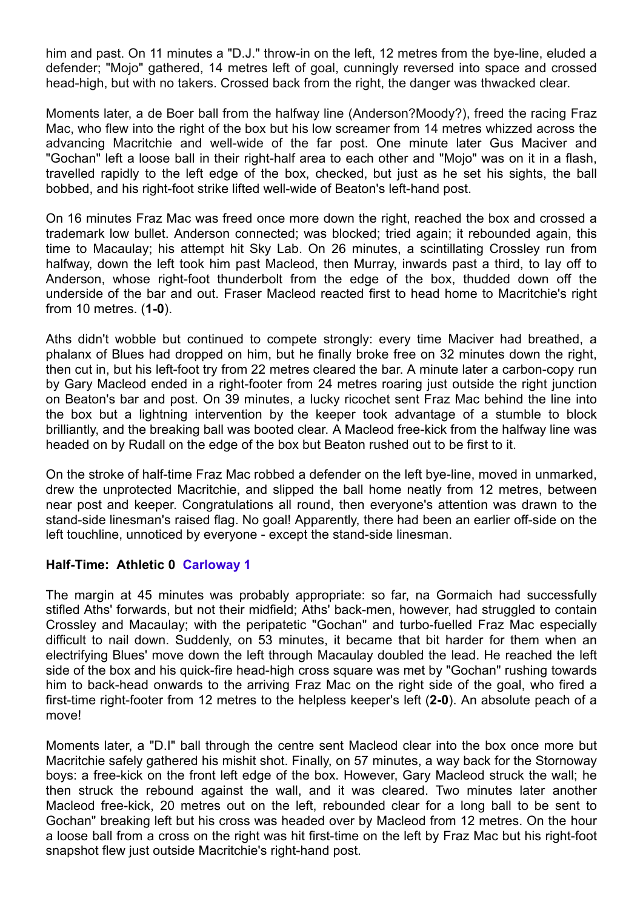him and past. On 11 minutes a "D.J." throw-in on the left, 12 metres from the bye-line, eluded a defender; "Mojo" gathered, 14 metres left of goal, cunningly reversed into space and crossed head-high, but with no takers. Crossed back from the right, the danger was thwacked clear.

Moments later, a de Boer ball from the halfway line (Anderson?Moody?), freed the racing Fraz Mac, who flew into the right of the box but his low screamer from 14 metres whizzed across the advancing Macritchie and well-wide of the far post. One minute later Gus Maciver and "Gochan" left a loose ball in their right-half area to each other and "Mojo" was on it in a flash, travelled rapidly to the left edge of the box, checked, but just as he set his sights, the ball bobbed, and his right-foot strike lifted well-wide of Beaton's left-hand post.

On 16 minutes Fraz Mac was freed once more down the right, reached the box and crossed a trademark low bullet. Anderson connected; was blocked; tried again; it rebounded again, this time to Macaulay; his attempt hit Sky Lab. On 26 minutes, a scintillating Crossley run from halfway, down the left took him past Macleod, then Murray, inwards past a third, to lay off to Anderson, whose right-foot thunderbolt from the edge of the box, thudded down off the underside of the bar and out. Fraser Macleod reacted first to head home to Macritchie's right from 10 metres. (**1-0**).

Aths didn't wobble but continued to compete strongly: every time Maciver had breathed, a phalanx of Blues had dropped on him, but he finally broke free on 32 minutes down the right, then cut in, but his left-foot try from 22 metres cleared the bar. A minute later a carbon-copy run by Gary Macleod ended in a right-footer from 24 metres roaring just outside the right junction on Beaton's bar and post. On 39 minutes, a lucky ricochet sent Fraz Mac behind the line into the box but a lightning intervention by the keeper took advantage of a stumble to block brilliantly, and the breaking ball was booted clear. A Macleod free-kick from the halfway line was headed on by Rudall on the edge of the box but Beaton rushed out to be first to it.

On the stroke of half-time Fraz Mac robbed a defender on the left bye-line, moved in unmarked, drew the unprotected Macritchie, and slipped the ball home neatly from 12 metres, between near post and keeper. Congratulations all round, then everyone's attention was drawn to the stand-side linesman's raised flag. No goal! Apparently, there had been an earlier off-side on the left touchline, unnoticed by everyone - except the stand-side linesman.

## **Half-Time: Athletic 0 Carloway 1**

The margin at 45 minutes was probably appropriate: so far, na Gormaich had successfully stifled Aths' forwards, but not their midfield; Aths' back-men, however, had struggled to contain Crossley and Macaulay; with the peripatetic "Gochan" and turbo-fuelled Fraz Mac especially difficult to nail down. Suddenly, on 53 minutes, it became that bit harder for them when an electrifying Blues' move down the left through Macaulay doubled the lead. He reached the left side of the box and his quick-fire head-high cross square was met by "Gochan" rushing towards him to back-head onwards to the arriving Fraz Mac on the right side of the goal, who fired a first-time right-footer from 12 metres to the helpless keeper's left (**2-0**). An absolute peach of a move!

Moments later, a "D.I" ball through the centre sent Macleod clear into the box once more but Macritchie safely gathered his mishit shot. Finally, on 57 minutes, a way back for the Stornoway boys: a free-kick on the front left edge of the box. However, Gary Macleod struck the wall; he then struck the rebound against the wall, and it was cleared. Two minutes later another Macleod free-kick, 20 metres out on the left, rebounded clear for a long ball to be sent to Gochan" breaking left but his cross was headed over by Macleod from 12 metres. On the hour a loose ball from a cross on the right was hit first-time on the left by Fraz Mac but his right-foot snapshot flew just outside Macritchie's right-hand post.